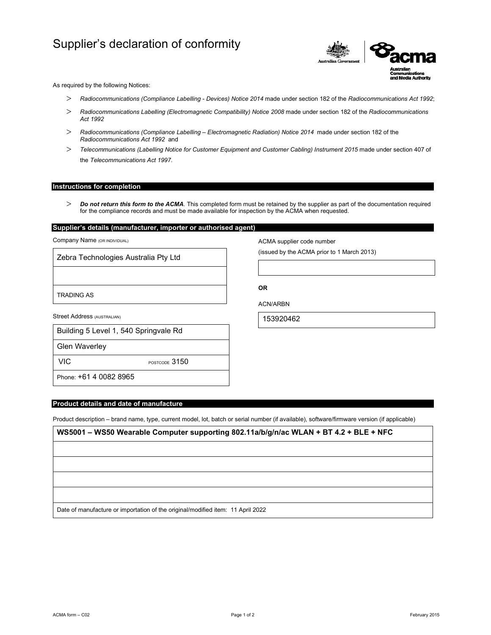# Supplier's declaration of conformity



As required by the following Notices:

- *Radiocommunications (Compliance Labelling Devices) Notice 2014* made under section 182 of the *Radiocommunications Act 1992*;
- *Radiocommunications Labelling (Electromagnetic Compatibility) Notice 2008* made under section 182 of the *Radiocommunications Act 1992*
- *Radiocommunications (Compliance Labelling Electromagnetic Radiation) Notice 2014* made under section 182 of the *Radiocommunications Act 1992* and
- *Telecommunications (Labelling Notice for Customer Equipment and Customer Cabling) Instrument 2015* made under section 407 of the *Telecommunications Act 1997*.

## **Instructions for completion**

 *Do not return this form to the ACMA*. This completed form must be retained by the supplier as part of the documentation required for the compliance records and must be made available for inspection by the ACMA when requested.

# **Supplier's details (manufacturer, importer or authorised agent)**

Company Name (OR INDIVIDUAL)

Zebra Technologies Australia Pty Ltd

TRADING AS

Street Address (AUSTRALIAN)

|  | Building 5 Level 1, 540 Springvale Rd |  |
|--|---------------------------------------|--|
|  |                                       |  |

Glen Waverley

VIC POSTCODE 3150

Phone: +61 4 0082 8965

## **Product details and date of manufacture**

Product description – brand name, type, current model, lot, batch or serial number (if available), software/firmware version (if applicable)

**WS5001 – WS50 Wearable Computer supporting 802.11a/b/g/n/ac WLAN + BT 4.2 + BLE + NFC**

Date of manufacture or importation of the original/modified item: 11 April 2022

ACMA supplier code number

(issued by the ACMA prior to 1 March 2013)

**OR** 

ACN/ARBN

153920462